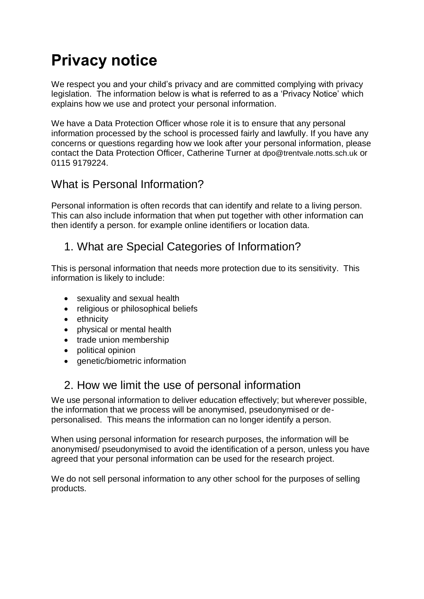# **Privacy notice**

We respect you and your child's privacy and are committed complying with privacy legislation. The information below is what is referred to as a 'Privacy Notice' which explains how we use and protect your personal information.

We have a Data Protection Officer whose role it is to ensure that any personal information processed by the school is processed fairly and lawfully. If you have any concerns or questions regarding how we look after your personal information, please contact the Data Protection Officer, Catherine Turner at dpo@trentvale.notts.sch.uk or 0115 9179224.

#### What is Personal Information?

Personal information is often records that can identify and relate to a living person. This can also include information that when put together with other information can then identify a person. for example online identifiers or location data.

#### 1. What are Special Categories of Information?

This is personal information that needs more protection due to its sensitivity. This information is likely to include:

- sexuality and sexual health
- religious or philosophical beliefs
- ethnicity
- physical or mental health
- trade union membership
- political opinion
- genetic/biometric information

#### 2. How we limit the use of personal information

We use personal information to deliver education effectively; but wherever possible, the information that we process will be anonymised, pseudonymised or depersonalised. This means the information can no longer identify a person.

When using personal information for research purposes, the information will be anonymised/ pseudonymised to avoid the identification of a person, unless you have agreed that your personal information can be used for the research project.

We do not sell personal information to any other school for the purposes of selling products.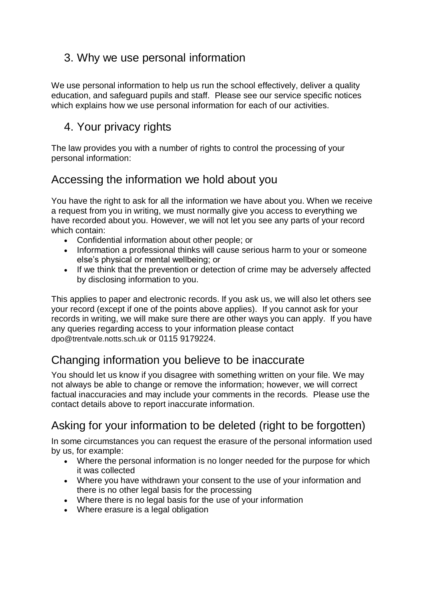#### 3. Why we use personal information

We use personal information to help us run the school effectively, deliver a quality education, and safeguard pupils and staff. Please see our service specific notices which explains how we use personal information for each of our activities.

#### 4. Your privacy rights

The law provides you with a number of rights to control the processing of your personal information:

#### Accessing the information we hold about you

You have the right to ask for all the information we have about you. When we receive a request from you in writing, we must normally give you access to everything we have recorded about you. However, we will not let you see any parts of your record which contain:

- Confidential information about other people; or
- Information a professional thinks will cause serious harm to your or someone else's physical or mental wellbeing; or
- If we think that the prevention or detection of crime may be adversely affected by disclosing information to you.

This applies to paper and electronic records. If you ask us, we will also let others see your record (except if one of the points above applies). If you cannot ask for your records in writing, we will make sure there are other ways you can apply. If you have any queries regarding access to your information please contact dpo@trentvale.notts.sch.uk or 0115 9179224.

# Changing information you believe to be inaccurate

You should let us know if you disagree with something written on your file. We may not always be able to change or remove the information; however, we will correct factual inaccuracies and may include your comments in the records. [Please use the](https://forms.essex.gov.uk/default.aspx/RenderForm/?F.Name=r4Qcams7sBg&HideAll=1)  [contact details above to report inaccurate information.](https://forms.essex.gov.uk/default.aspx/RenderForm/?F.Name=r4Qcams7sBg&HideAll=1)

# Asking for your information to be deleted (right to be forgotten)

In some circumstances you can request the erasure of the personal information used by us, for example:

- Where the personal information is no longer needed for the purpose for which it was collected
- Where you have withdrawn your consent to the use of your information and there is no other legal basis for the processing
- Where there is no legal basis for the use of your information
- Where erasure is a legal obligation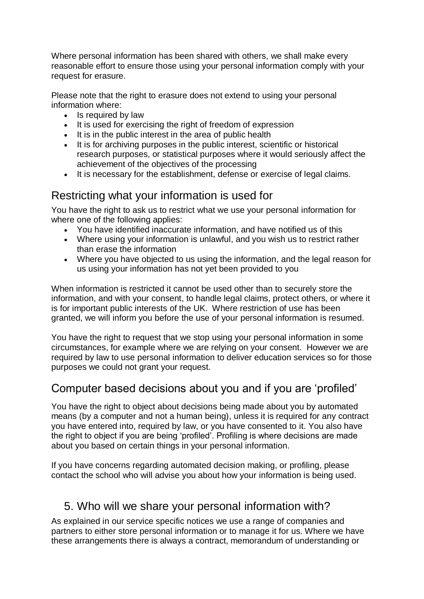Where personal information has been shared with others, we shall make every reasonable effort to ensure those using your personal information comply with your request for erasure.

Please note that the right to erasure does not extend to using your personal information where:

- Is required by law
- It is used for exercising the right of freedom of expression
- It is in the public interest in the area of public health
- It is for archiving purposes in the public interest, scientific or historical research purposes, or statistical purposes where it would seriously affect the achievement of the objectives of the processing
- It is necessary for the establishment, defense or exercise of legal claims.

# Restricting what your information is used for

You have the right to ask us to restrict what we use your personal information for where one of the following applies:

- You have identified inaccurate information, and have notified us of this
- Where using your information is unlawful, and you wish us to restrict rather than erase the information
- Where you have objected to us using the information, and the legal reason for us using your information has not yet been provided to you

When information is restricted it cannot be used other than to securely store the information, and with your consent, to handle legal claims, protect others, or where it is for important public interests of the UK. Where restriction of use has been granted, we will inform you before the use of your personal information is resumed.

You have the right to request that we stop using your personal information in some circumstances, for example where we are relying on your consent. However we are required by law to use personal information to deliver education services so for those purposes we could not grant your request.

# Computer based decisions about you and if you are 'profiled'

You have the right to object about decisions being made about you by automated means (by a computer and not a human being), unless it is required for any contract you have entered into, required by law, or you have consented to it. You also have the right to object if you are being 'profiled'. Profiling is where decisions are made about you based on certain things in your personal information.

If you have concerns regarding automated decision making, or profiling, please contact the school who will advise you about how your information is being used.

# 5. Who will we share your personal information with?

As explained in our service specific notices we use a range of companies and partners to either store personal information or to manage it for us. Where we have these arrangements there is always a contract, memorandum of understanding or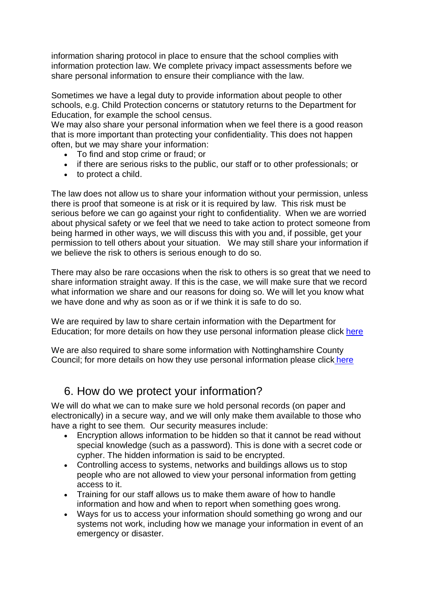information sharing protocol in place to ensure that the school complies with information protection law. We complete privacy impact assessments before we share personal information to ensure their compliance with the law.

Sometimes we have a legal duty to provide information about people to other schools, e.g. Child Protection concerns or statutory returns to the Department for Education, for example the school census.

We may also share your personal information when we feel there is a good reason that is more important than protecting your confidentiality. This does not happen often, but we may share your information:

- To find and stop crime or fraud; or
- if there are serious risks to the public, our staff or to other professionals; or
- to protect a child.

The law does not allow us to share your information without your permission, unless there is proof that someone is at risk or it is required by law. This risk must be serious before we can go against your right to confidentiality. When we are worried about physical safety or we feel that we need to take action to protect someone from being harmed in other ways, we will discuss this with you and, if possible, get your permission to tell others about your situation. We may still share your information if we believe the risk to others is serious enough to do so.

There may also be rare occasions when the risk to others is so great that we need to share information straight away. If this is the case, we will make sure that we record what information we share and our reasons for doing so. We will let you know what we have done and why as soon as or if we think it is safe to do so.

We are required by law to share certain information with the Department for Education; for more details on how they use personal information please click [here](https://www.gov.uk/guidance/data-protection-how-we-collect-and-share-research-data)

We are also required to share some information with Nottinghamshire County Council; for more details on how they use personal information please click [here](https://www.nottinghamshire.gov.uk/global-content/privacy)

#### 6. How do we protect your information?

We will do what we can to make sure we hold personal records (on paper and electronically) in a secure way, and we will only make them available to those who have a right to see them. Our security measures include:

- Encryption allows information to be hidden so that it cannot be read without special knowledge (such as a password). This is done with a secret code or cypher. The hidden information is said to be encrypted.
- Controlling access to systems, networks and buildings allows us to stop people who are not allowed to view your personal information from getting access to it.
- Training for our staff allows us to make them aware of how to handle information and how and when to report when something goes wrong.
- Ways for us to access your information should something go wrong and our systems not work, including how we manage your information in event of an emergency or disaster.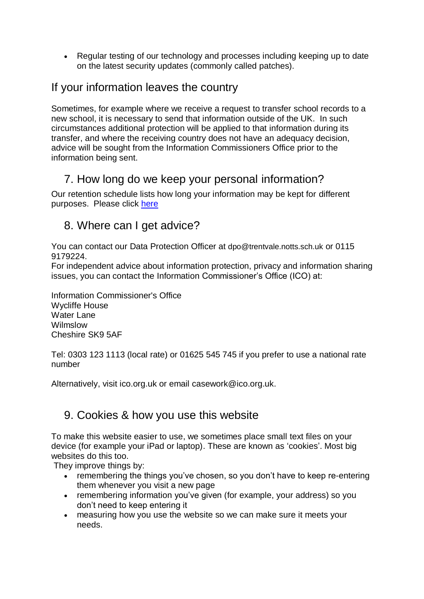• Regular testing of our technology and processes including keeping up to date on the latest security updates (commonly called patches).

#### If your information leaves the country

Sometimes, for example where we receive a request to transfer school records to a new school, it is necessary to send that information outside of the UK. In such circumstances additional protection will be applied to that information during its transfer, and where the receiving country does not have an adequacy decision, advice will be sought from the Information Commissioners Office prior to the information being sent.

# 7. How long do we keep your personal information?

Our retention schedule lists how long your information may be kept for different purposes. Please click [here](https://c.ymcdn.com/sites/irms.site-ym.com/resource/collection/8BCEF755-0353-4F66-9877-CCDA4BFEEAC4/2016_IRMS_Toolkit_for_Schools_v5_Master.pdf)

#### 8. Where can I get advice?

You can contact our Data Protection Officer at dpo@trentvale.notts.sch.uk or 0115 9179224.

For independent advice about information protection, privacy and information sharing issues, you can contact the Information Commissioner's Office (ICO) at:

Information Commissioner's Office Wycliffe House Water Lane Wilmslow Cheshire SK9 5AF

Tel: 0303 123 1113 (local rate) or 01625 545 745 if you prefer to use a national rate number

Alternatively, visit [ico.org.uk](https://ico.org.uk/) or email [casework@ico.org.uk.](mailto:casework@ico.org.uk)

#### 9. Cookies & how you use this website

To make this website easier to use, we sometimes place small text files on your device (for example your iPad or laptop). These are known as 'cookies'. Most big websites do this too.

They improve things by:

- remembering the things you've chosen, so you don't have to keep re-entering them whenever you visit a new page
- remembering information you've given (for example, your address) so you don't need to keep entering it
- measuring how you use the website so we can make sure it meets your needs.